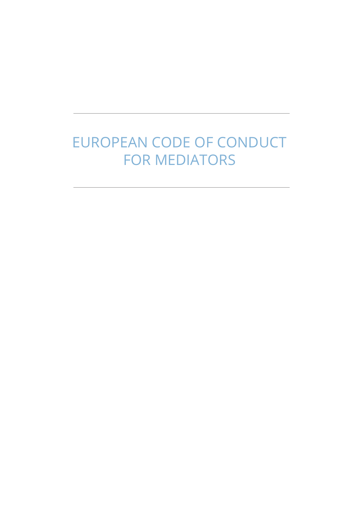# EUROPEAN CODE OF CONDUCT FOR MEDIATORS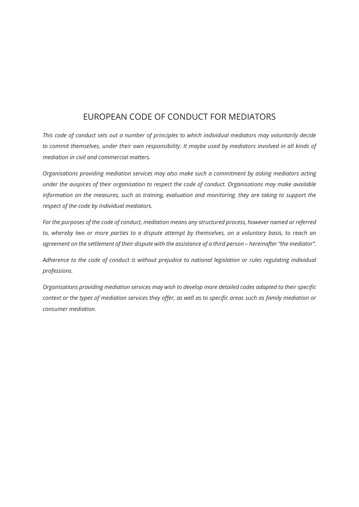# EUROPEAN CODE OF CONDUCT FOR MEDIATORS

*This code of conduct sets out a number of principles to which individual mediators may voluntarily decide to commit themselves, under their own responsibility. It maybe used by mediators involved in all kinds of mediation in civil and commercial matters.*

*Organisations providing mediation services may also make such a commitment by asking mediators acting under the auspices of their organisation to respect the code of conduct. Organisations may make available information on the measures, such as training, evaluation and monitoring, they are taking to support the respect of the code by individual mediators.*

*For the purposes of the code of conduct, mediation means any structured process, however named or referred to, whereby two or more parties to a dispute attempt by themselves, on a voluntary basis, to reach an agreement on the settlement of their dispute with the assistance of a third person – hereinafter "the mediator".*

*Adherence to the code of conduct is without prejudice to national legislation or rules regulating individual professions.*

*Organisations providing mediation services may wish to develop more detailed codes adapted to their specific context or the types of mediation services they offer, as well as to specific areas such as family mediation or consumer mediation.*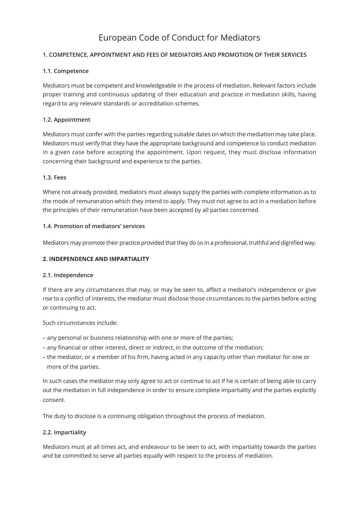# European Code of Conduct for Mediators

# **1. COMPETENCE, APPOINTMENT AND FEES OF MEDIATORS AND PROMOTION OF THEIR SERVICES**

#### **1.1. Competence**

Mediators must be competent and knowledgeable in the process of mediation. Relevant factors include proper training and continuous updating of their education and practice in mediation skills, having regard to any relevant standards or accreditation schemes.

## **1.2. Appointment**

Mediators must confer with the parties regarding suitable dates on which the mediation may take place. Mediators must verify that they have the appropriate background and competence to conduct mediation in a given case before accepting the appointment. Upon request, they must disclose information concerning their background and experience to the parties.

#### **1.3. Fees**

Where not already provided, mediators must always supply the parties with complete information as to the mode of remuneration which they intend to apply. They must not agree to act in a mediation before the principles of their remuneration have been accepted by all parties concerned.

#### **1.4. Promotion of mediators' services**

Mediators may promote their practice provided that they do so in a professional, truthful and dignified way.

# **2. INDEPENDENCE AND IMPARTIALITY**

#### **2.1. Independence**

If there are any circumstances that may, or may be seen to, affect a mediator's independence or give rise to a conflict of interests, the mediator must disclose those circumstances to the parties before acting or continuing to act.

Such circumstances include:

- any personal or business relationship with one or more of the parties;
- any financial or other interest, direct or indirect, in the outcome of the mediation;
- the mediator, or a member of his firm, having acted in any capacity other than mediator for one or more of the parties.

In such cases the mediator may only agree to act or continue to act if he is certain of being able to carry out the mediation in full independence in order to ensure complete impartiality and the parties explicitly consent.

The duty to disclose is a continuing obligation throughout the process of mediation.

#### **2.2. Impartiality**

Mediators must at all times act, and endeavour to be seen to act, with impartiality towards the parties and be committed to serve all parties equally with respect to the process of mediation.